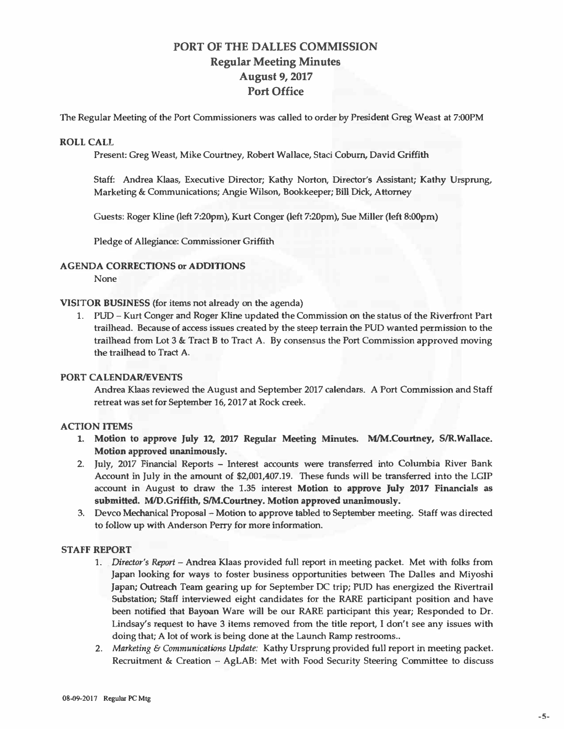# **PORT OF THE DALLES COMMISSION Regular Meeting Minutes August** *9,* **2017 Port Office**

The Regular Meeting of the Port Commissioners was called to order by President Greg Weast at 7:00PM

#### **ROLL CALL**

**Present: Greg Weast, Mike Courtney, Robert Wallace, Staci Coburn, David Griffith** 

**Staff: Andrea Klaas, Executive Director; Kathy Norton, Director's Assistant; Kathy Ursprung, Marketing & Communications; Angie Wilson, Bookkeeper; Bill Dick, Attorney** 

**Guests: Roger Kline (left 7:20pm), Kurt Conger (left 7:20pm), Sue Miller (left B:OOpm)** 

**Pledge of Allegiance: Commissioner Griffith** 

# **AGENDA CORRECTIONS or ADDITIONS**

**None** 

**VISITOR BUSINESS (for items not already on the agenda)** 

**1. PUD - Kurt Conger and Roger Kline updated the Commission on the status of the Riverfront Part trailhead. Because of access issues created by the steep terrain the PUD wanted permission to the trailhead from Lot 3 & Tract B to Tract A. By consensus the Port Commission approved moving the trailhead to Tract A.**

# **PORT CALENDAR/EVENTS**

**Andrea Klaas reviewed the August and September 2017 calendars. A Port Commission and Staff retreat was set for September 16, 2017 at Rock creek.** 

# **ACTION ITEMS**

- **1. Motion to approve July 12, 2017 Regular Meeting Minutes. M/M.COurtney, SIR.Wallace. Motion approved unanimously.**
- **2. July, 2017 Financial Reports - Interest accounts were transferred into Columbia River Bank Account in July in the amount of \$2,001,407.19. These funds will be transferred into the LGIP account in August to draw the 1.35 interest Motion to approve July 2017 Financials as** submitted. M/D.Griffith, S/M.Courtney. Motion approved unanimously.
- **3. Devco Mechanical Proposal - Motion to approve tabled to September meeting. Staff was directed to follow up with Anderson Perry for more information.**

### **STAFF REPORT**

- **1.** *Director's Report* **-Andrea Klaas provided full report in meeting packet. Met with folks from Japan looking for ways to foster business opportunities between The Dalles and Miyoshi Japan; Outreach Team gearing up for September DC trip; PUD has energized the Rivertrail Substation; Staff interviewed eight candidates for the RARE participant position and have been notified that Bayoan Ware will be our RARE participant this year; Responded to Dr. Lindsay's request to have 3 items removed from the title report, I don't see any issues with doing that; A lot of work is being done at the Launch Ramp restrooms ..**
- **2.** *Marketing* **&** *Communications Update:* **Kathy Ursprung provided full report in meeting packet. Recruitment & Creation - AgLAB: Met with Food Security Steering Committee to discuss**